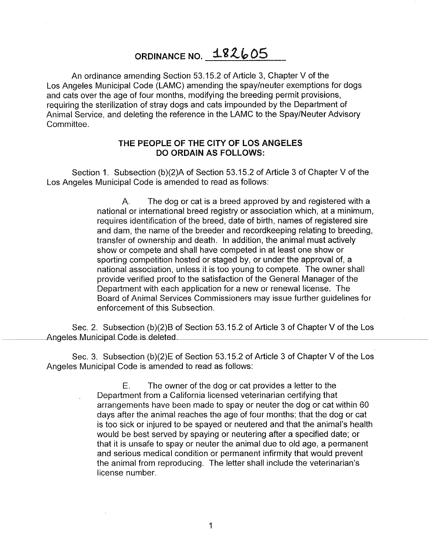## ORDINANCE NO. 182605

An ordinance amending Section 53.15.2 of Article 3, Chapter V of the Los Angeles Municipal Code (LAMC) amending the spay/neuter exemptions for dogs and cats over the age of four months, modifying the breeding permit provisions, requiring the sterilization of stray dogs and cats impounded by the Department of Animal Service, and deleting the reference in the LAMC to the Spay/Neuter Advisory Committee.

## **THE PEOPLE OF THE CITY OF LOS ANGELES DO ORDAIN AS FOLLOWS:**

Section 1. Subsection (b)(2)A of Section 53.15.2 of Article 3 of Chapter V of the Los Angeles Municipal Code is amended to read as follows:

> A. The dog or cat is a breed approved by and registered with a national or international breed registry or association which, at a minimum, requires identification of the breed, date of birth, names of registered sire and dam, the name of the breeder and record keeping relating to breeding, transfer of ownership and death. In addition, the animal must actively show or compete and shall have competed in at least one show or sporting competition hosted or staged by, or under the approval of, a national association, unless it is too young to compete. The owner shall provide verified proof to the satisfaction of the General Manager of the Department with each application for a new or renewal license. The Board of Animal Services Commissioners may issue further guidelines for enforcement of this Subsection.

Sec. 2. Subsection (b)(2)B of Section 53.15.2 of Article 3 of Chapter V of the Los Angeles Municipal Code is deleted.

Sec. 3. Subsection (b)(2)E of Section 53.15.2 of Article 3 of Chapter V of the Los Angeles Municipal Code is amended to read as follows:

> E. The owner of the dog or cat provides a letter to the Department from a California licensed veterinarian certifying that arrangements have been made to spay or neuter the dog or cat within 60 days after the animal reaches the age of four months; that the dog or cat is too sick or injured to be spayed or neutered and that the animal's health would be best served by spaying or neutering after a specified date; or that it is unsafe to spay or neuter the animal due to old age, a permanent and serious medical condition or permanent infirmity that would prevent the animal from reproducing. The letter shall include the veterinarian's license number.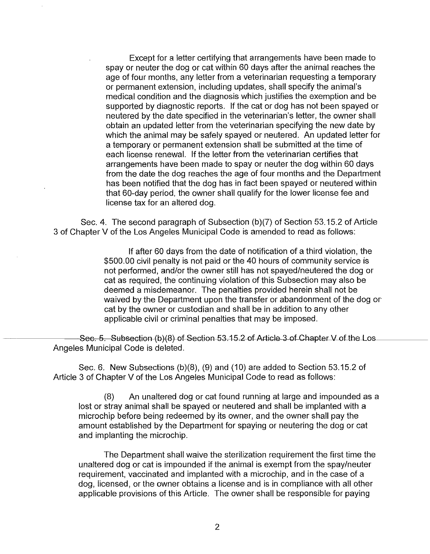Except for a letter certifying that arrangements have been made to spay or neuter the dog or cat within 60 days after the animal reaches the age of four months, any letter from a veterinarian requesting a temporary or permanent extension, including updates, shall specify the animal's medical condition and the diagnosis which justifies the exemption and be supported by diagnostic reports. If the cat or dog has not been spayed or neutered by the date specified in the veterinarian's letter, the owner shall obtain an updated letter from the veterinarian specifying the new date by which the animal may be safely spayed or neutered. An updated letter for a temporary or permanent extension shall be submitted at the time of each license renewal. If the letter from the veterinarian certifies that arrangements have been made to spay or neuter the dog within 60 days from the date the dog reaches the age of four months and the Department has been notified that the dog has in fact been spayed or neutered within that 60-day period, the owner shall qualify for the lower license fee and license tax for an altered dog.

Sec. 4. The second paragraph of Subsection (b)(7) of Section 53.15.2 of Article 3 of Chapter V of the Los Angeles Municipal Code is amended to read as follows:

> If after 60 days from the date of notification of a third violation, the \$500.00 civil penalty is not paid or the 40 hours of community service is not performed, and/or the owner still has not spayed/neutered the dog or cat as required, the continuing violation of this Subsection may also be deemed a misdemeanor. The penalties provided herein shall not be waived by the Department upon the transfer or abandonment of the dog or cat by the owner or custodian and shall be in addition to any other applicable civil or criminal penalties that may be imposed.

Sec. 5. Subsection (b)(8) of Section 53.15.2 of Article 3 of Chapter V of the Los Angeles Municipal Code is deleted.

Sec. 6. New Subsections (b)(8), (9) and (10) are added to Section 53.15.2 of Article 3 of Chapter V of the Los Angeles Municipal Code to read as follows:

(8) An unaltered dog or cat found running at large and impounded as a lost or stray animal shall be spayed or neutered and shall be implanted with a microchip before being redeemed by its owner, and the owner shall pay the amount established by the Department for spaying or neutering the dog or cat and implanting the microchip.

The Department shall waive the sterilization requirement the first time the unaltered dog or cat is impounded if the animal is exempt from the spay/neuter requirement, vaccinated and implanted with a microchip, and in the case of a dog, licensed, or the owner obtains a license and is in compliance with all other applicable provisions of this Article. The owner shall be responsible for paying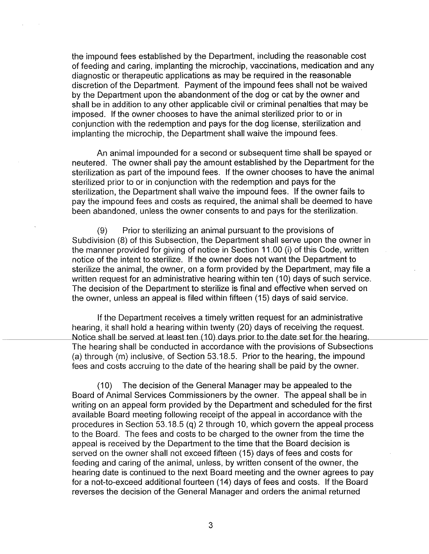the impound fees established by the Department, including the reasonable cost of feeding and caring, implanting the microchip, vaccinations, medication and any diagnostic or therapeutic applications as may be required in the reasonable discretion of the Department. Payment of the impound fees shall not be waived by the Department upon the abandonment of the dog or cat by the owner and shall be in addition to any other applicable civil or criminal penalties that may be imposed. If the owner chooses to have the animal sterilized prior to or in conjunction with the redemption and pays for the dog license, sterilization and implanting the microchip, the Department shall waive the impound fees.

An animal impounded for a second or subsequent time shall be spayed or neutered. The owner shall pay the amount established by the Department for the sterilization as part of the impound fees. If the owner chooses to have the animal sterilized prior to or in conjunction with the redemption and pays for the sterilization, the Department shall waive the impound fees. If the owner fails to pay the impound fees and costs as required, the animal shall be deemed to have been abandoned, unless the owner consents to and pays for the sterilization.

(9) Prior to sterilizing an animal pursuant to the provisions of Subdivision (8) of this Subsection, the Department shall serve upon the owner in the manner provided for giving of notice in Section 11.00 (i) of this Code, written notice of the intent to sterilize. If the owner does not want the Department to sterilize the animal, the owner, on a form provided by the Department, may file a written request for an administrative hearing within ten (10) days of such service. The decision of the Department to sterilize is final and effective when served on the owner, unless an appeal is filed within fifteen (15) days of said service.

If the Department receives a timely written request for an administrative hearing, it shall hold a hearing within twenty (20) days of receiving the request. Notice shall be served at least ten (10) days prior to the date set for the hearing. The hearing shall be conducted in accordance with the provisions of Subsections (a) through (m) inclusive, of Section 53.18.5. Prior to the hearing, the impound fees and costs accruing to the date of the hearing shall be paid by the owner.

(10) The decision of the General Manager may be appealed to the Board of Animal Services Commissioners by the owner. The appeal shall be in writing on an appeal form provided by the Department and scheduled for the first available Board meeting following receipt of the appeal in accordance with the procedures in Section 53.18.5 (q) 2 through 10, which govern the appeal process to the Board. The fees and costs to be charged to the owner from the time the appeal is received by the Department to the time that the Board decision is served on the owner shall not exceed fifteen (15) days of fees and costs for feeding and caring of the animal, unless, by written consent of the owner, the hearing date is continued to the next Board meeting and the owner agrees to pay for a not-to-exceed additional fourteen (14) days of fees and costs. If the Board reverses the decision of the General Manager and orders the animal returned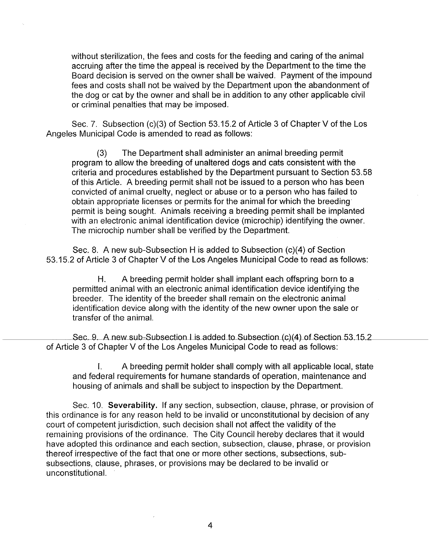without sterilization, the fees and costs for the feeding and caring of the animal accruing after the time the appeal is received by the Department to the time the Board decision is served on the owner shall be waived. Payment of the impound fees and costs shall not be waived by the Department upon the abandonment of the dog or cat by the owner and shall be in addition to any other applicable civil or criminal penalties that may be imposed.

Sec. 7. Subsection (c)(3) of Section 53.15.2 of Article 3 of Chapter V of the Los Angeles Municipal Code is amended to read as follows:

(3) The Department shall administer an animal breeding permit program to allow the breeding of unaltered dogs and cats consistent with the criteria and procedures established by the Department pursuant to Section 53.58 of this Article. A breeding permit shall not be issued to a person who has been convicted of animal cruelty, neglect or abuse or to a person who has failed to obtain appropriate licenses or permits for the animal for which the breeding permit is being sought. Animals receiving a breeding permit shall be implanted with an electronic animal identification device (microchip) identifying the owner. The microchip number shall be verified by the Department.

Sec. 8. A new sub-Subsection H is added to Subsection (c)(4) of Section 53.15.2 of Article 3 of Chapter V of the Los Angeles Municipal Code to read as follows:

H. A breeding permit holder shall implant each offspring born to a permitted animal with an electronic animal identification device identifying the breeder. The identity of the breeder shall remain on the electronic animal identification device along with the identity of the new owner upon the sale or transfer of the animal.

Sec. 9 A new sub-Subsection I is added to Subsection (c)(4) of Section 53.15 .2 of Article 3 of Chapter V of the Los Angeles Municipal Code to read as follows:

I. A breeding permit holder shall comply with all applicable local, state and federal requirements for humane standards of operation, maintenance and housing of animals and shall be subject to inspection by the Department.

Sec. 10. **Severability.** If any section, subsection, clause, phrase, or provision of this ordinance is for any reason held to be invalid or unconstitutional by decision of any court of competent jurisdiction, such decision shall not affect the validity of the remaining provisions of the ordinance. The City Council hereby declares that it would have adopted this ordinance and each section, subsection, clause, phrase, or provision thereof irrespective of the fact that one or more other sections, subsections, subsubsections, clause, phrases, or provisions may be declared to be invalid or unconstitutional.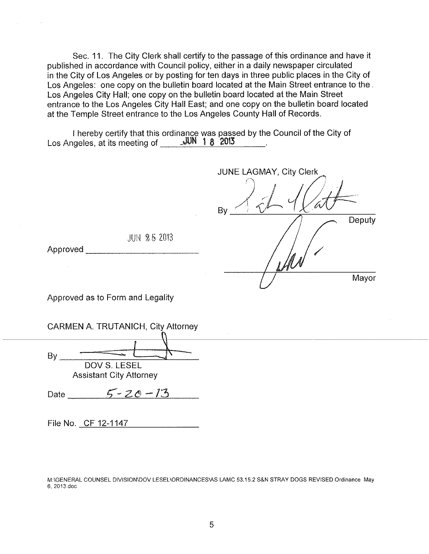Sec. 11. The City Clerk shall certify to the passage of this ordinance and have it published in accordance with Council policy, either in a daily newspaper circulated in the City of Los Angeles or by posting for ten days in three public places in the City of Los Angeles: one copy on the bulletin board located at the Main Street entrance to the . Los Angeles City Hall; one copy on the bulletin board located at the Main Street entrance to the Los Angeles City Hall East; and one copy on the bulletin board located at the Temple Street entrance to the Los Angeles County Hall of Records.

I hereby certify that this ordinance was passed by the Council of the City of Los Angeles, at its meeting of JUN 1 8 2013

| JUNE LAGMAY, City Clerk         |        |
|---------------------------------|--------|
| By                              |        |
|                                 | Deputy |
| $\mathcal{M}$<br>$\mathcal{N}'$ |        |
| à.                              | Mayor  |

JUN 25 2013

Approved **and a** second the second  $\sim$ 

Approved as to Form and Legality

| CARMEN A. TRUTANICH, City Attorney |  |  |  |
|------------------------------------|--|--|--|
|------------------------------------|--|--|--|

 $\n By \n  $\overline{DOV} \subseteq \overline{LOV} \subseteq \overline{L}$$ Assistant City Attorney

Date <u>5 - 20 - 13</u>

File No. CF 12-1147

M:\GENERAL COUNSEL DIVISION\DOV LESEL\ORDINANCES\AS LAMC 53.15.2 S&N STRAY DOGS REVISED Ordinance May 6, 2013.doc